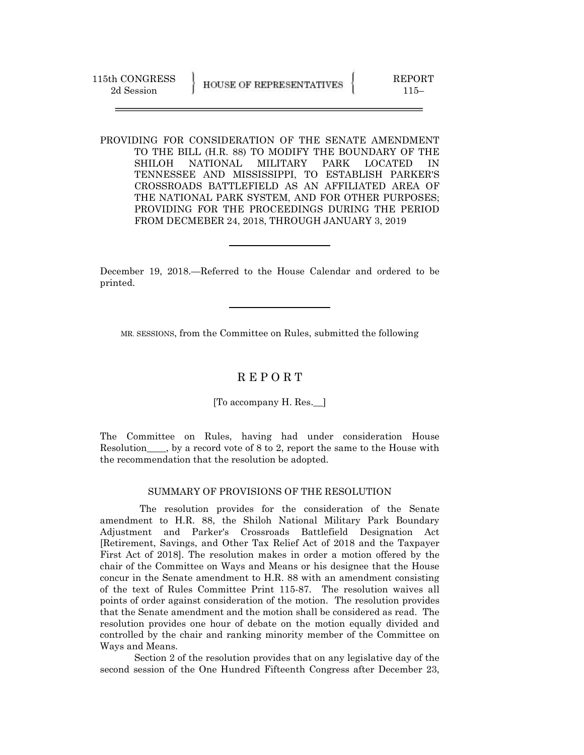PROVIDING FOR CONSIDERATION OF THE SENATE AMENDMENT TO THE BILL (H.R. 88) TO MODIFY THE BOUNDARY OF THE SHILOH NATIONAL MILITARY PARK LOCATED IN TENNESSEE AND MISSISSIPPI, TO ESTABLISH PARKER'S CROSSROADS BATTLEFIELD AS AN AFFILIATED AREA OF THE NATIONAL PARK SYSTEM, AND FOR OTHER PURPOSES; PROVIDING FOR THE PROCEEDINGS DURING THE PERIOD FROM DECMEBER 24, 2018, THROUGH JANUARY 3, 2019

December 19, 2018.—Referred to the House Calendar and ordered to be printed.

MR. SESSIONS, from the Committee on Rules, submitted the following

## R E P O R T

[To accompany H. Res.\_\_]

The Committee on Rules, having had under consideration House Resolution\_\_\_\_, by a record vote of 8 to 2, report the same to the House with the recommendation that the resolution be adopted.

## SUMMARY OF PROVISIONS OF THE RESOLUTION

 The resolution provides for the consideration of the Senate amendment to H.R. 88, the Shiloh National Military Park Boundary Adjustment and Parker's Crossroads Battlefield Designation Act [Retirement, Savings, and Other Tax Relief Act of 2018 and the Taxpayer First Act of 2018]. The resolution makes in order a motion offered by the chair of the Committee on Ways and Means or his designee that the House concur in the Senate amendment to H.R. 88 with an amendment consisting of the text of Rules Committee Print 115-87. The resolution waives all points of order against consideration of the motion. The resolution provides that the Senate amendment and the motion shall be considered as read. The resolution provides one hour of debate on the motion equally divided and controlled by the chair and ranking minority member of the Committee on Ways and Means.

Section 2 of the resolution provides that on any legislative day of the second session of the One Hundred Fifteenth Congress after December 23,